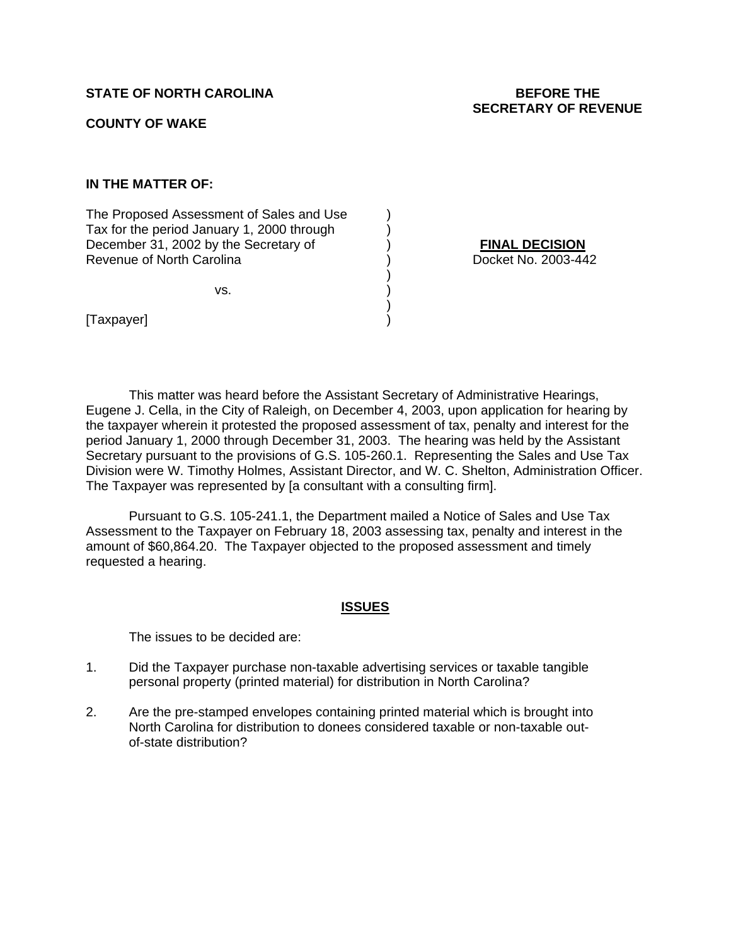# **STATE OF NORTH CAROLINA** BEFORE THE

# **COUNTY OF WAKE**

## **IN THE MATTER OF:**

The Proposed Assessment of Sales and Use ) Tax for the period January 1, 2000 through  $\qquad \qquad$  ) December 31, 2002 by the Secretary of (a) and (a) **FINAL DECISION**<br>
Revenue of North Carolina<br> **Revenue of North Carolina** Revenue of North Carolina (2003)

 $\mathsf{VS}.$  )

 $)$ 

 $)$ 

[Taxpayer] )

 This matter was heard before the Assistant Secretary of Administrative Hearings, Eugene J. Cella, in the City of Raleigh, on December 4, 2003, upon application for hearing by the taxpayer wherein it protested the proposed assessment of tax, penalty and interest for the period January 1, 2000 through December 31, 2003. The hearing was held by the Assistant Secretary pursuant to the provisions of G.S. 105-260.1. Representing the Sales and Use Tax Division were W. Timothy Holmes, Assistant Director, and W. C. Shelton, Administration Officer. The Taxpayer was represented by [a consultant with a consulting firm].

Pursuant to G.S. 105-241.1, the Department mailed a Notice of Sales and Use Tax Assessment to the Taxpayer on February 18, 2003 assessing tax, penalty and interest in the amount of \$60,864.20. The Taxpayer objected to the proposed assessment and timely requested a hearing.

#### **ISSUES**

The issues to be decided are:

- 1. Did the Taxpayer purchase non-taxable advertising services or taxable tangible personal property (printed material) for distribution in North Carolina?
- 2. Are the pre-stamped envelopes containing printed material which is brought into North Carolina for distribution to donees considered taxable or non-taxable outof-state distribution?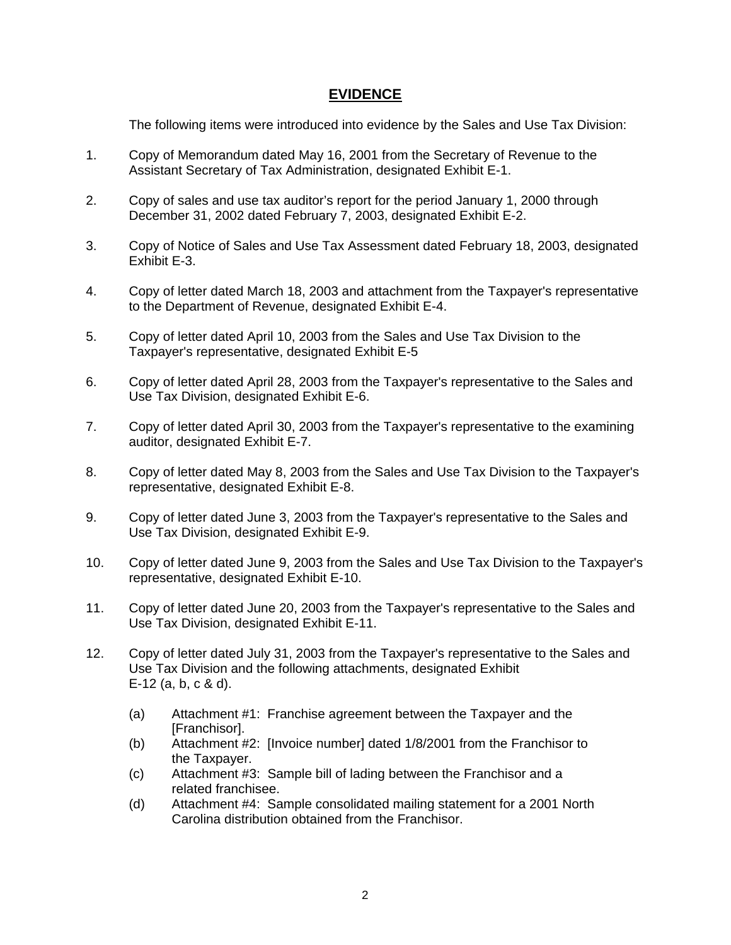# **EVIDENCE**

The following items were introduced into evidence by the Sales and Use Tax Division:

- 1. Copy of Memorandum dated May 16, 2001 from the Secretary of Revenue to the Assistant Secretary of Tax Administration, designated Exhibit E-1.
- 2. Copy of sales and use tax auditor's report for the period January 1, 2000 through December 31, 2002 dated February 7, 2003, designated Exhibit E-2.
- 3. Copy of Notice of Sales and Use Tax Assessment dated February 18, 2003, designated Exhibit E-3.
- 4. Copy of letter dated March 18, 2003 and attachment from the Taxpayer's representative to the Department of Revenue, designated Exhibit E-4.
- 5. Copy of letter dated April 10, 2003 from the Sales and Use Tax Division to the Taxpayer's representative, designated Exhibit E-5
- 6. Copy of letter dated April 28, 2003 from the Taxpayer's representative to the Sales and Use Tax Division, designated Exhibit E-6.
- 7. Copy of letter dated April 30, 2003 from the Taxpayer's representative to the examining auditor, designated Exhibit E-7.
- 8. Copy of letter dated May 8, 2003 from the Sales and Use Tax Division to the Taxpayer's representative, designated Exhibit E-8.
- 9. Copy of letter dated June 3, 2003 from the Taxpayer's representative to the Sales and Use Tax Division, designated Exhibit E-9.
- 10. Copy of letter dated June 9, 2003 from the Sales and Use Tax Division to the Taxpayer's representative, designated Exhibit E-10.
- 11. Copy of letter dated June 20, 2003 from the Taxpayer's representative to the Sales and Use Tax Division, designated Exhibit E-11.
- 12. Copy of letter dated July 31, 2003 from the Taxpayer's representative to the Sales and Use Tax Division and the following attachments, designated Exhibit E-12 (a, b, c & d).
	- (a) Attachment #1: Franchise agreement between the Taxpayer and the [Franchisor].
	- (b) Attachment #2: [Invoice number] dated 1/8/2001 from the Franchisor to the Taxpayer.
	- (c) Attachment #3: Sample bill of lading between the Franchisor and a related franchisee.
	- (d) Attachment #4: Sample consolidated mailing statement for a 2001 North Carolina distribution obtained from the Franchisor.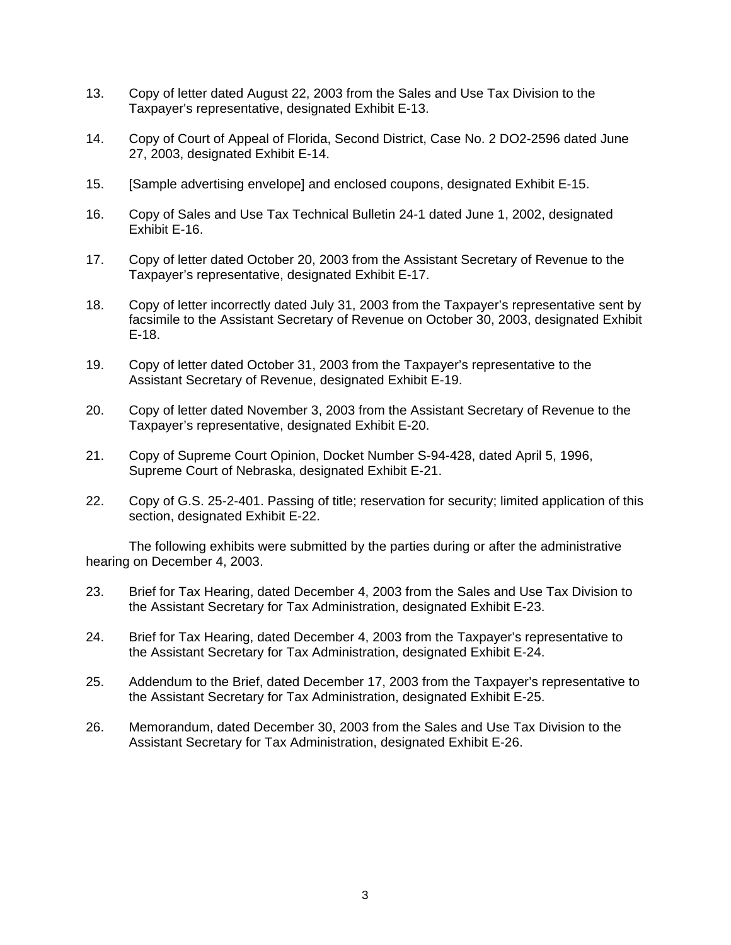- 13. Copy of letter dated August 22, 2003 from the Sales and Use Tax Division to the Taxpayer's representative, designated Exhibit E-13.
- 14. Copy of Court of Appeal of Florida, Second District, Case No. 2 DO2-2596 dated June 27, 2003, designated Exhibit E-14.
- 15. [Sample advertising envelope] and enclosed coupons, designated Exhibit E-15.
- 16. Copy of Sales and Use Tax Technical Bulletin 24-1 dated June 1, 2002, designated Exhibit E-16.
- 17. Copy of letter dated October 20, 2003 from the Assistant Secretary of Revenue to the Taxpayer's representative, designated Exhibit E-17.
- 18. Copy of letter incorrectly dated July 31, 2003 from the Taxpayer's representative sent by facsimile to the Assistant Secretary of Revenue on October 30, 2003, designated Exhibit E-18.
- 19. Copy of letter dated October 31, 2003 from the Taxpayer's representative to the Assistant Secretary of Revenue, designated Exhibit E-19.
- 20. Copy of letter dated November 3, 2003 from the Assistant Secretary of Revenue to the Taxpayer's representative, designated Exhibit E-20.
- 21. Copy of Supreme Court Opinion, Docket Number S-94-428, dated April 5, 1996, Supreme Court of Nebraska, designated Exhibit E-21.
- 22. Copy of G.S. 25-2-401. Passing of title; reservation for security; limited application of this section, designated Exhibit E-22.

The following exhibits were submitted by the parties during or after the administrative hearing on December 4, 2003.

- 23. Brief for Tax Hearing, dated December 4, 2003 from the Sales and Use Tax Division to the Assistant Secretary for Tax Administration, designated Exhibit E-23.
- 24. Brief for Tax Hearing, dated December 4, 2003 from the Taxpayer's representative to the Assistant Secretary for Tax Administration, designated Exhibit E-24.
- 25. Addendum to the Brief, dated December 17, 2003 from the Taxpayer's representative to the Assistant Secretary for Tax Administration, designated Exhibit E-25.
- 26. Memorandum, dated December 30, 2003 from the Sales and Use Tax Division to the Assistant Secretary for Tax Administration, designated Exhibit E-26.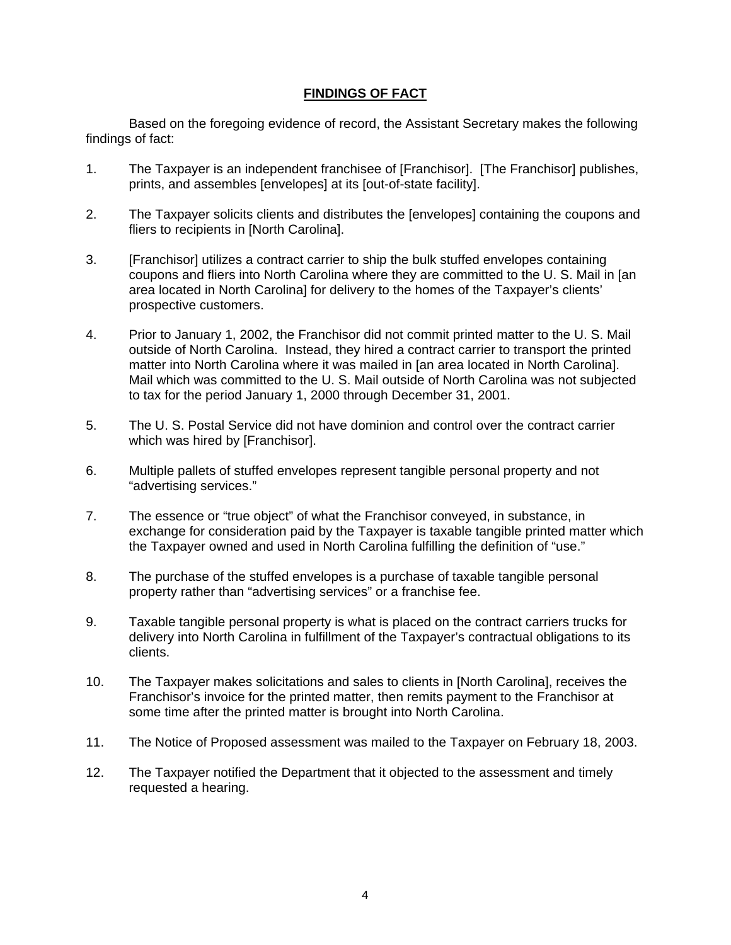#### **FINDINGS OF FACT**

Based on the foregoing evidence of record, the Assistant Secretary makes the following findings of fact:

- 1. The Taxpayer is an independent franchisee of [Franchisor]. [The Franchisor] publishes, prints, and assembles [envelopes] at its [out-of-state facility].
- 2. The Taxpayer solicits clients and distributes the [envelopes] containing the coupons and fliers to recipients in [North Carolina].
- 3. [Franchisor] utilizes a contract carrier to ship the bulk stuffed envelopes containing coupons and fliers into North Carolina where they are committed to the U. S. Mail in [an area located in North Carolina] for delivery to the homes of the Taxpayer's clients' prospective customers.
- 4. Prior to January 1, 2002, the Franchisor did not commit printed matter to the U. S. Mail outside of North Carolina. Instead, they hired a contract carrier to transport the printed matter into North Carolina where it was mailed in [an area located in North Carolina]. Mail which was committed to the U. S. Mail outside of North Carolina was not subjected to tax for the period January 1, 2000 through December 31, 2001.
- 5. The U. S. Postal Service did not have dominion and control over the contract carrier which was hired by [Franchisor].
- 6. Multiple pallets of stuffed envelopes represent tangible personal property and not "advertising services."
- 7. The essence or "true object" of what the Franchisor conveyed, in substance, in exchange for consideration paid by the Taxpayer is taxable tangible printed matter which the Taxpayer owned and used in North Carolina fulfilling the definition of "use."
- 8. The purchase of the stuffed envelopes is a purchase of taxable tangible personal property rather than "advertising services" or a franchise fee.
- 9. Taxable tangible personal property is what is placed on the contract carriers trucks for delivery into North Carolina in fulfillment of the Taxpayer's contractual obligations to its clients.
- 10. The Taxpayer makes solicitations and sales to clients in [North Carolina], receives the Franchisor's invoice for the printed matter, then remits payment to the Franchisor at some time after the printed matter is brought into North Carolina.
- 11. The Notice of Proposed assessment was mailed to the Taxpayer on February 18, 2003.
- 12. The Taxpayer notified the Department that it objected to the assessment and timely requested a hearing.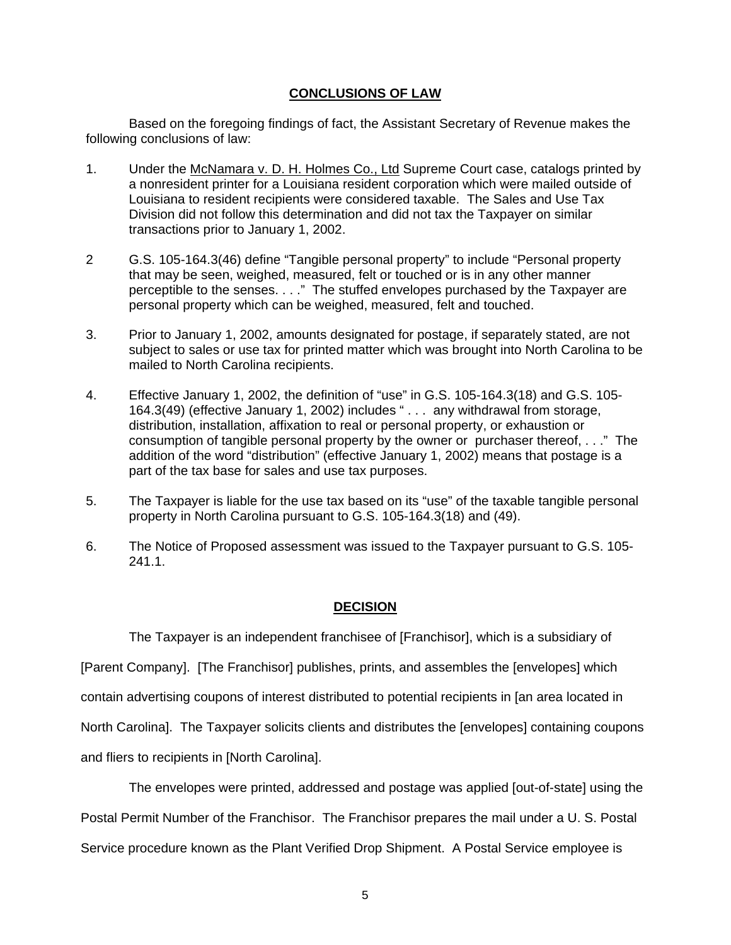#### **CONCLUSIONS OF LAW**

 Based on the foregoing findings of fact, the Assistant Secretary of Revenue makes the following conclusions of law:

- 1. Under the McNamara v. D. H. Holmes Co., Ltd Supreme Court case, catalogs printed by a nonresident printer for a Louisiana resident corporation which were mailed outside of Louisiana to resident recipients were considered taxable. The Sales and Use Tax Division did not follow this determination and did not tax the Taxpayer on similar transactions prior to January 1, 2002.
- 2 G.S. 105-164.3(46) define "Tangible personal property" to include "Personal property that may be seen, weighed, measured, felt or touched or is in any other manner perceptible to the senses. . . ." The stuffed envelopes purchased by the Taxpayer are personal property which can be weighed, measured, felt and touched.
- 3. Prior to January 1, 2002, amounts designated for postage, if separately stated, are not subject to sales or use tax for printed matter which was brought into North Carolina to be mailed to North Carolina recipients.
- 4. Effective January 1, 2002, the definition of "use" in G.S. 105-164.3(18) and G.S. 105- 164.3(49) (effective January 1, 2002) includes " . . . any withdrawal from storage, distribution, installation, affixation to real or personal property, or exhaustion or consumption of tangible personal property by the owner or purchaser thereof, . . ." The addition of the word "distribution" (effective January 1, 2002) means that postage is a part of the tax base for sales and use tax purposes.
- 5. The Taxpayer is liable for the use tax based on its "use" of the taxable tangible personal property in North Carolina pursuant to G.S. 105-164.3(18) and (49).
- 6. The Notice of Proposed assessment was issued to the Taxpayer pursuant to G.S. 105- 241.1.

#### **DECISION**

The Taxpayer is an independent franchisee of [Franchisor], which is a subsidiary of

[Parent Company]. [The Franchisor] publishes, prints, and assembles the [envelopes] which

contain advertising coupons of interest distributed to potential recipients in [an area located in

North Carolina]. The Taxpayer solicits clients and distributes the [envelopes] containing coupons

and fliers to recipients in [North Carolina].

The envelopes were printed, addressed and postage was applied [out-of-state] using the Postal Permit Number of the Franchisor. The Franchisor prepares the mail under a U. S. Postal Service procedure known as the Plant Verified Drop Shipment. A Postal Service employee is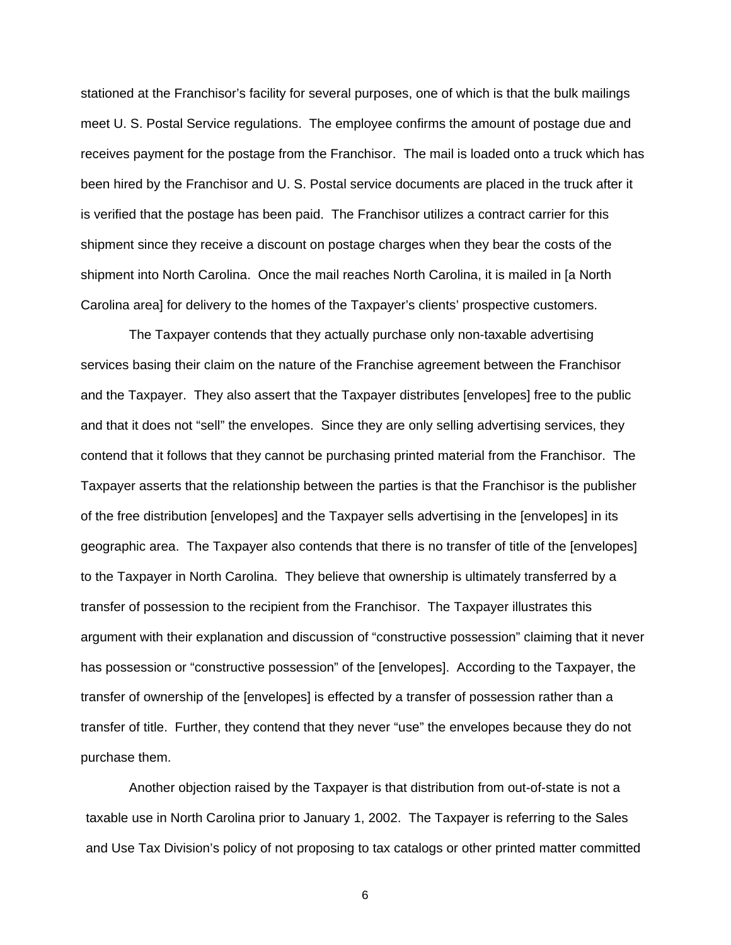stationed at the Franchisor's facility for several purposes, one of which is that the bulk mailings meet U. S. Postal Service regulations. The employee confirms the amount of postage due and receives payment for the postage from the Franchisor. The mail is loaded onto a truck which has been hired by the Franchisor and U. S. Postal service documents are placed in the truck after it is verified that the postage has been paid. The Franchisor utilizes a contract carrier for this shipment since they receive a discount on postage charges when they bear the costs of the shipment into North Carolina. Once the mail reaches North Carolina, it is mailed in [a North Carolina area] for delivery to the homes of the Taxpayer's clients' prospective customers.

The Taxpayer contends that they actually purchase only non-taxable advertising services basing their claim on the nature of the Franchise agreement between the Franchisor and the Taxpayer. They also assert that the Taxpayer distributes [envelopes] free to the public and that it does not "sell" the envelopes. Since they are only selling advertising services, they contend that it follows that they cannot be purchasing printed material from the Franchisor. The Taxpayer asserts that the relationship between the parties is that the Franchisor is the publisher of the free distribution [envelopes] and the Taxpayer sells advertising in the [envelopes] in its geographic area. The Taxpayer also contends that there is no transfer of title of the [envelopes] to the Taxpayer in North Carolina. They believe that ownership is ultimately transferred by a transfer of possession to the recipient from the Franchisor. The Taxpayer illustrates this argument with their explanation and discussion of "constructive possession" claiming that it never has possession or "constructive possession" of the [envelopes]. According to the Taxpayer, the transfer of ownership of the [envelopes] is effected by a transfer of possession rather than a transfer of title. Further, they contend that they never "use" the envelopes because they do not purchase them.

Another objection raised by the Taxpayer is that distribution from out-of-state is not a taxable use in North Carolina prior to January 1, 2002. The Taxpayer is referring to the Sales and Use Tax Division's policy of not proposing to tax catalogs or other printed matter committed

6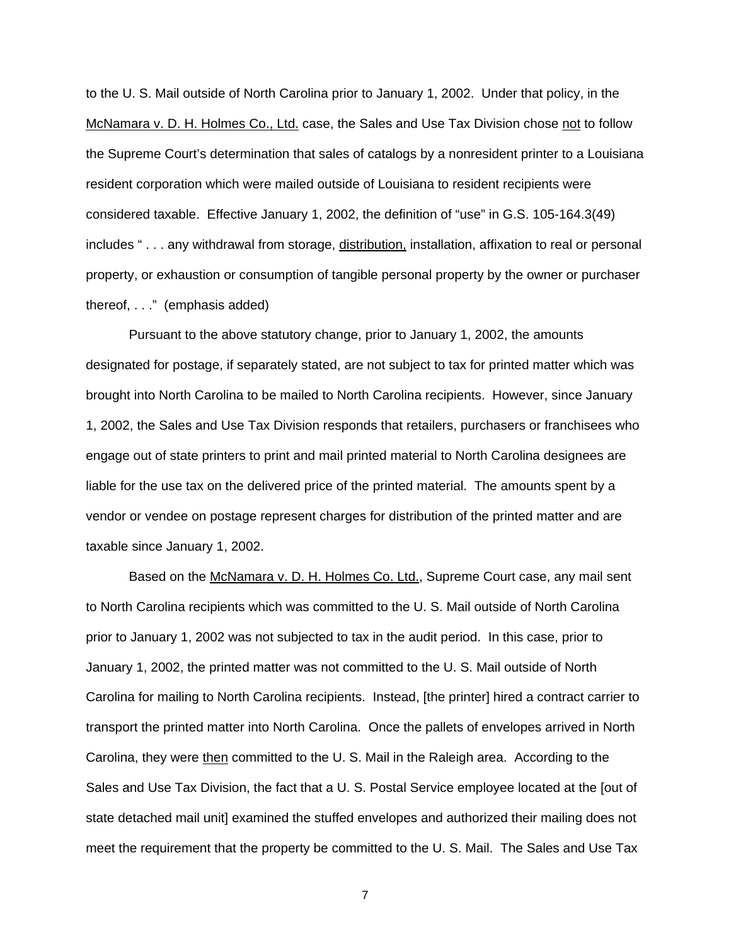to the U. S. Mail outside of North Carolina prior to January 1, 2002. Under that policy, in the McNamara v. D. H. Holmes Co., Ltd. case, the Sales and Use Tax Division chose not to follow the Supreme Court's determination that sales of catalogs by a nonresident printer to a Louisiana resident corporation which were mailed outside of Louisiana to resident recipients were considered taxable. Effective January 1, 2002, the definition of "use" in G.S. 105-164.3(49) includes " . . . any withdrawal from storage, distribution, installation, affixation to real or personal property, or exhaustion or consumption of tangible personal property by the owner or purchaser thereof, . . ." (emphasis added)

Pursuant to the above statutory change, prior to January 1, 2002, the amounts designated for postage, if separately stated, are not subject to tax for printed matter which was brought into North Carolina to be mailed to North Carolina recipients. However, since January 1, 2002, the Sales and Use Tax Division responds that retailers, purchasers or franchisees who engage out of state printers to print and mail printed material to North Carolina designees are liable for the use tax on the delivered price of the printed material. The amounts spent by a vendor or vendee on postage represent charges for distribution of the printed matter and are taxable since January 1, 2002.

Based on the McNamara v. D. H. Holmes Co. Ltd., Supreme Court case, any mail sent to North Carolina recipients which was committed to the U. S. Mail outside of North Carolina prior to January 1, 2002 was not subjected to tax in the audit period. In this case, prior to January 1, 2002, the printed matter was not committed to the U. S. Mail outside of North Carolina for mailing to North Carolina recipients. Instead, [the printer] hired a contract carrier to transport the printed matter into North Carolina. Once the pallets of envelopes arrived in North Carolina, they were then committed to the U. S. Mail in the Raleigh area. According to the Sales and Use Tax Division, the fact that a U. S. Postal Service employee located at the [out of state detached mail unit] examined the stuffed envelopes and authorized their mailing does not meet the requirement that the property be committed to the U. S. Mail. The Sales and Use Tax

7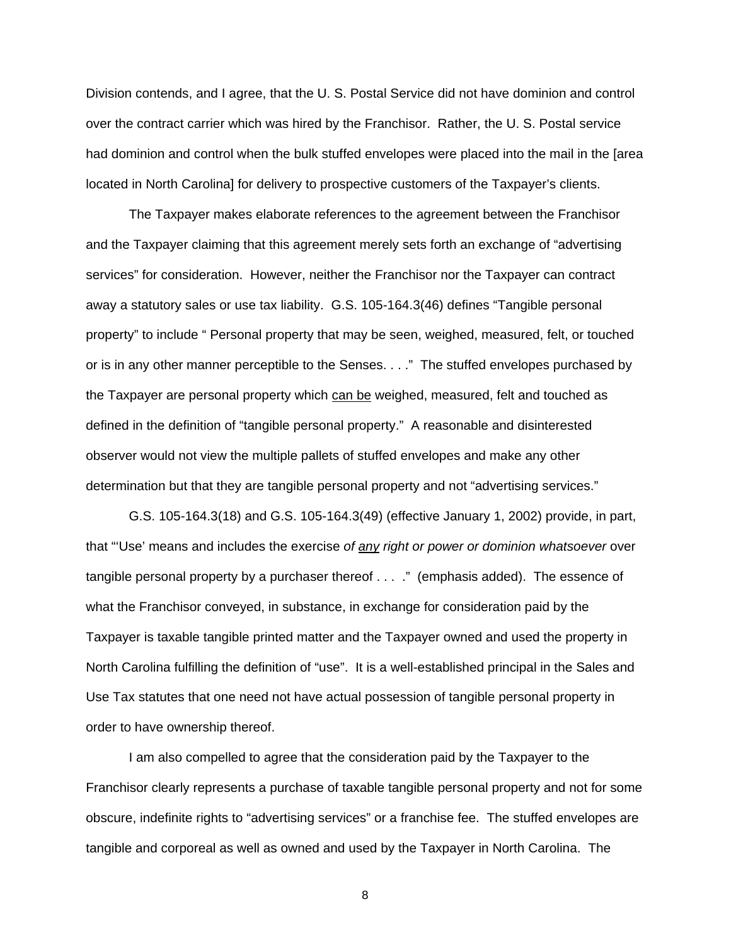Division contends, and I agree, that the U. S. Postal Service did not have dominion and control over the contract carrier which was hired by the Franchisor. Rather, the U. S. Postal service had dominion and control when the bulk stuffed envelopes were placed into the mail in the [area located in North Carolina] for delivery to prospective customers of the Taxpayer's clients.

The Taxpayer makes elaborate references to the agreement between the Franchisor and the Taxpayer claiming that this agreement merely sets forth an exchange of "advertising services" for consideration. However, neither the Franchisor nor the Taxpayer can contract away a statutory sales or use tax liability. G.S. 105-164.3(46) defines "Tangible personal property" to include " Personal property that may be seen, weighed, measured, felt, or touched or is in any other manner perceptible to the Senses. . . ." The stuffed envelopes purchased by the Taxpayer are personal property which can be weighed, measured, felt and touched as defined in the definition of "tangible personal property." A reasonable and disinterested observer would not view the multiple pallets of stuffed envelopes and make any other determination but that they are tangible personal property and not "advertising services."

G.S. 105-164.3(18) and G.S. 105-164.3(49) (effective January 1, 2002) provide, in part, that "'Use' means and includes the exercise *of any right or power or dominion whatsoever* over tangible personal property by a purchaser thereof . . . ." (emphasis added). The essence of what the Franchisor conveyed, in substance, in exchange for consideration paid by the Taxpayer is taxable tangible printed matter and the Taxpayer owned and used the property in North Carolina fulfilling the definition of "use". It is a well-established principal in the Sales and Use Tax statutes that one need not have actual possession of tangible personal property in order to have ownership thereof.

I am also compelled to agree that the consideration paid by the Taxpayer to the Franchisor clearly represents a purchase of taxable tangible personal property and not for some obscure, indefinite rights to "advertising services" or a franchise fee. The stuffed envelopes are tangible and corporeal as well as owned and used by the Taxpayer in North Carolina. The

8